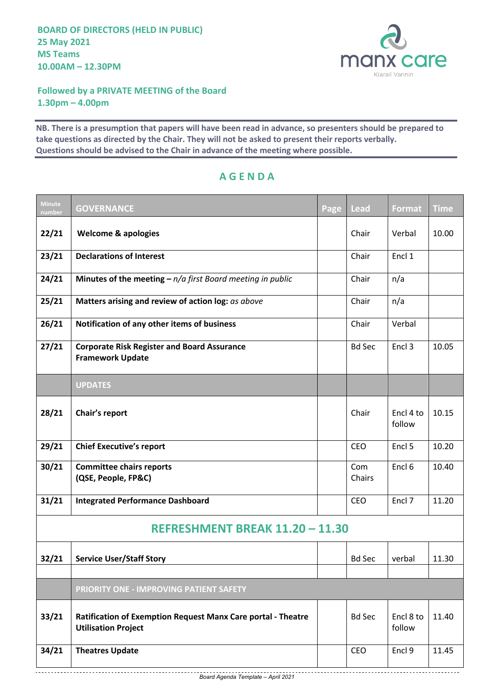

**Followed by a PRIVATE MEETING of the Board 1.30pm – 4.00pm**

**NB. There is a presumption that papers will have been read in advance, so presenters should be prepared to take questions as directed by the Chair. They will not be asked to present their reports verbally. Questions should be advised to the Chair in advance of the meeting where possible.**

| <b>Minute</b><br>number         | <b>GOVERNANCE</b>                                                                          | Page | Lead          | <b>Format</b>       | <b>Time</b> |  |  |  |  |
|---------------------------------|--------------------------------------------------------------------------------------------|------|---------------|---------------------|-------------|--|--|--|--|
| 22/21                           | <b>Welcome &amp; apologies</b>                                                             |      | Chair         | Verbal              | 10.00       |  |  |  |  |
| 23/21                           | <b>Declarations of Interest</b>                                                            |      | Chair         | Encl 1              |             |  |  |  |  |
| 24/21                           | Minutes of the meeting $- n/a$ first Board meeting in public                               |      | Chair         | n/a                 |             |  |  |  |  |
| 25/21                           | Matters arising and review of action log: as above                                         |      | Chair         | n/a                 |             |  |  |  |  |
| 26/21                           | Notification of any other items of business                                                |      | Chair         | Verbal              |             |  |  |  |  |
| 27/21                           | <b>Corporate Risk Register and Board Assurance</b><br><b>Framework Update</b>              |      | <b>Bd Sec</b> | Encl 3              | 10.05       |  |  |  |  |
|                                 | <b>UPDATES</b>                                                                             |      |               |                     |             |  |  |  |  |
| 28/21                           | Chair's report                                                                             |      | Chair         | Encl 4 to<br>follow | 10.15       |  |  |  |  |
| 29/21                           | <b>Chief Executive's report</b>                                                            |      | CEO           | Encl 5              | 10.20       |  |  |  |  |
| 30/21                           | <b>Committee chairs reports</b><br>(QSE, People, FP&C)                                     |      | Com<br>Chairs | Encl <sub>6</sub>   | 10.40       |  |  |  |  |
| 31/21                           | <b>Integrated Performance Dashboard</b>                                                    |      | CEO           | Encl 7              | 11.20       |  |  |  |  |
| REFRESHMENT BREAK 11.20 - 11.30 |                                                                                            |      |               |                     |             |  |  |  |  |
| 32/21                           | <b>Service User/Staff Story</b>                                                            |      | <b>Bd Sec</b> | verbal              | 11.30       |  |  |  |  |
|                                 |                                                                                            |      |               |                     |             |  |  |  |  |
|                                 | PRIORITY ONE - IMPROVING PATIENT SAFETY                                                    |      |               |                     |             |  |  |  |  |
| 33/21                           | Ratification of Exemption Request Manx Care portal - Theatre<br><b>Utilisation Project</b> |      | <b>Bd Sec</b> | Encl 8 to<br>follow | 11.40       |  |  |  |  |
| 34/21                           | <b>Theatres Update</b>                                                                     |      | CEO           | Encl 9              | 11.45       |  |  |  |  |

## **A G E N D A**